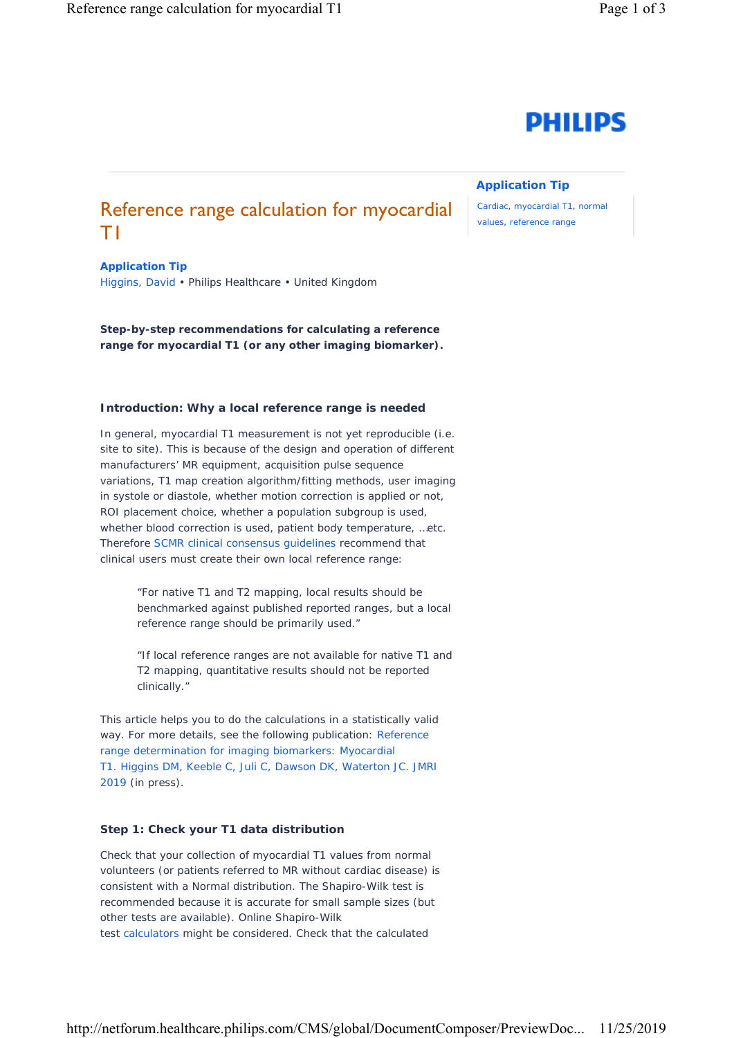# **PHILIPS**

## **Application Tip**

Cardiac, myocardial T1, normal values, reference range

# Reference range calculation for myocardial T1

**Application Tip** Higgins, David • Philips Healthcare • United Kingdom

**Step-by-step recommendations for calculating a reference range for myocardial T1 (or any other imaging biomarker).**

#### **Introduction: Why a local reference range is needed**

In general, myocardial T1 measurement is not yet *reproducible* (i.e. site to site). This is because of the design and operation of different manufacturers' MR equipment, acquisition pulse sequence variations, T1 map creation algorithm/fitting methods, user imaging in systole or diastole, whether motion correction is applied or not, ROI placement choice, whether a population subgroup is used, whether blood correction is used, patient body temperature, …etc. Therefore [SCMR clinical consensus guidelines](https://jcmr-online.biomedcentral.com/articles/10.1186/s12968-017-0389-8) recommend that clinical users must create their own local reference range:

> "For native T1 and T2 mapping, local results should be benchmarked against published reported ranges, but a local reference range should be primarily used."

> "If local reference ranges are not available for native T1 and T2 mapping, quantitative results should not be reported clinically."

This article helps you to do the calculations in a statistically valid way. For more details, see the following publication: Reference range determination for imaging biomarkers: Myocardial [T1. Higgins DM, Keeble C, Juli C, Dawson DK, Waterton JC. JMRI](https://onlinelibrary.wiley.com/doi/abs/10.1002/jmri.26683)  2019 (in press).

#### **Step 1: Check your T1 data distribution**

Check that your collection of myocardial T1 values from normal volunteers (or patients referred to MR without cardiac disease) is consistent with a Normal distribution. The Shapiro-Wilk test is recommended because it is accurate for small sample sizes (but other tests are available). Online Shapiro-Wilk test [calculators](http://scistatcalc.blogspot.com/2013/10/shapiro-wilk-test-calculator.html?_sm_au_=ijVS6WVFS8fpkNf66V02vKtHWTvKq) might be considered. Check that the *calculated*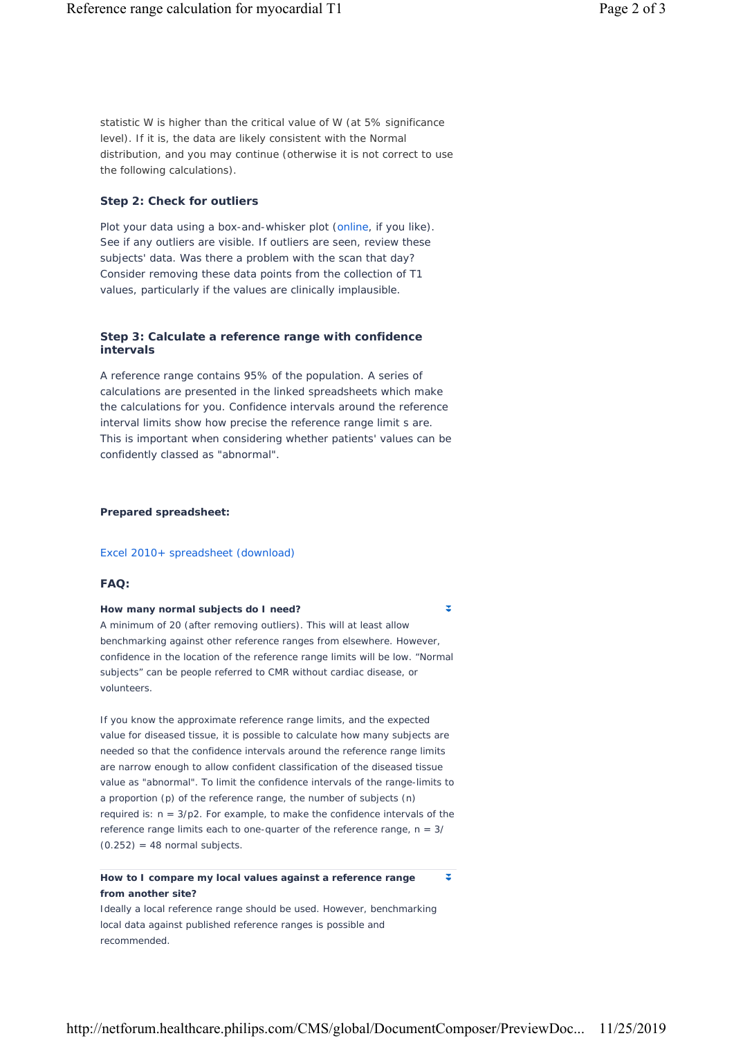*statistic W* is higher than the *critical value of W* (at 5% significance level). If it is, the data are likely consistent with the Normal distribution, and you may continue (otherwise it is not correct to use the following calculations).

#### **Step 2: Check for outliers**

Plot your data using a box-and-whisker plot [\(online,](http://shiny.chemgrid.org/boxplotr/) if you like). See if any outliers are visible. If outliers are seen, review these subjects' data. Was there a problem with the scan that day? Consider removing these data points from the collection of T1 values, particularly if the values are clinically implausible.

#### **Step 3: Calculate a reference range with confidence intervals**

A reference range contains 95% of the population. A series of calculations are presented in the linked spreadsheets which make the calculations for you. Confidence intervals around the reference interval limits show how precise the reference range limit s are. This is important when considering whether patients' values can be confidently classed as "abnormal".

#### *Prepared spreadsheet:*

#### Excel 2010+ spreadsheet (download)

#### **FAQ:**

#### **How many normal subjects do I need?**

A minimum of 20 (after removing outliers). This will at least allow benchmarking against other reference ranges from elsewhere. However, confidence in the location of the reference range limits will be low. "Normal subjects" can be people referred to CMR without cardiac disease, or volunteers.

If you know the approximate reference range limits, and the expected value for diseased tissue, it is possible to calculate how many subjects are needed so that the confidence intervals around the reference range limits are narrow enough to allow confident classification of the diseased tissue value as "abnormal". To limit the confidence intervals of the range-limits to a proportion (p) of the reference range, the number of subjects (n) required is:  $n = 3/p2$ . For example, to make the confidence intervals of the reference range limits each to one-quarter of the reference range,  $n = 3/2$  $(0.252) = 48$  normal subjects.

### **How to I compare my local values against a reference range from another site?**

Ideally a local reference range should be used. However, benchmarking local data against published reference ranges is possible and recommended.

z

 $\overline{\mathbf{x}}$